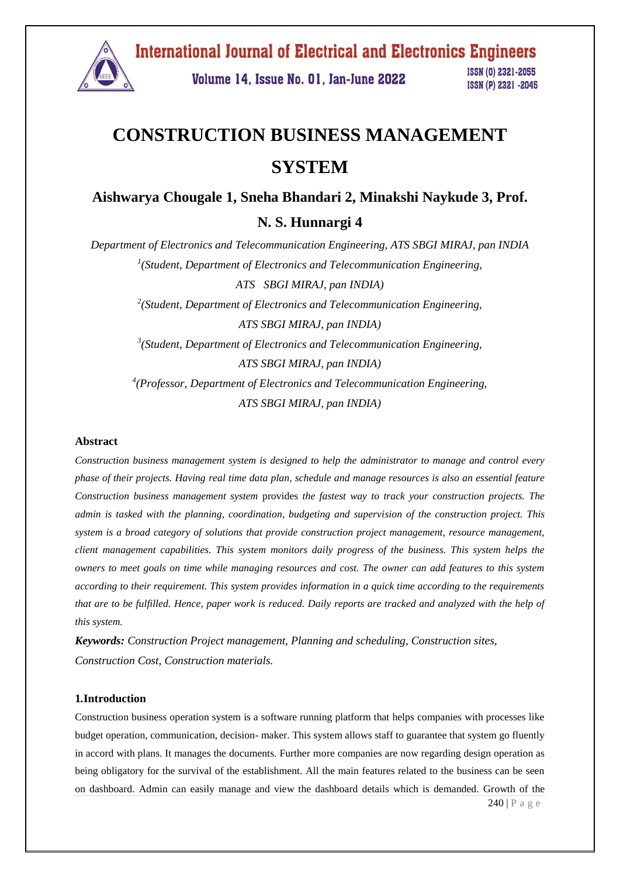

Volume 14, Issue No. 01, Jan-June 2022

ISSN (0) 2321-2055 ISSN (P) 2321 -2045

# **CONSTRUCTION BUSINESS MANAGEMENT SYSTEM**

**Aishwarya Chougale 1, Sneha Bhandari 2, Minakshi Naykude 3, Prof. N. S. Hunnargi 4**

*Department of Electronics and Telecommunication Engineering, ATS SBGI MIRAJ, pan INDIA* <sup>1</sup>(Student, Department of Electronics and Telecommunication Engineering, *ATS SBGI MIRAJ, pan INDIA)* <sup>2</sup>(Student, Department of Electronics and Telecommunication Engineering, *ATS SBGI MIRAJ, pan INDIA)* <sup>3</sup>(Student, Department of Electronics and Telecommunication Engineering, *ATS SBGI MIRAJ, pan INDIA)* <sup>4</sup>(Professor, Department of Electronics and Telecommunication Engineering, *ATS SBGI MIRAJ, pan INDIA)*

#### **Abstract**

*Construction business management system is designed to help the administrator to manage and control every phase of their projects. Having real time data plan, schedule and manage resources is also an essential feature Construction business management system* provides *the fastest way to track your construction projects. The admin is tasked with the planning, coordination, budgeting and supervision of the construction project. This system is a broad category of solutions that provide construction project management, resource management, client management capabilities. This system monitors daily progress of the business. This system helps the owners to meet goals on time while managing resources and cost. The owner can add features to this system according to their requirement. This system provides information in a quick time according to the requirements that are to be fulfilled. Hence, paper work is reduced. Daily reports are tracked and analyzed with the help of this system.* 

*Keywords: Construction Project management, Planning and scheduling, Construction sites, Construction Cost, Construction materials.* 

#### **1***.***Introduction**

Construction business operation system is a software running platform that helps companies with processes like budget operation, communication, decision- maker. This system allows staff to guarantee that system go fluently in accord with plans. It manages the documents. Further more companies are now regarding design operation as being obligatory for the survival of the establishment. All the main features related to the business can be seen on dashboard. Admin can easily manage and view the dashboard details which is demanded. Growth of the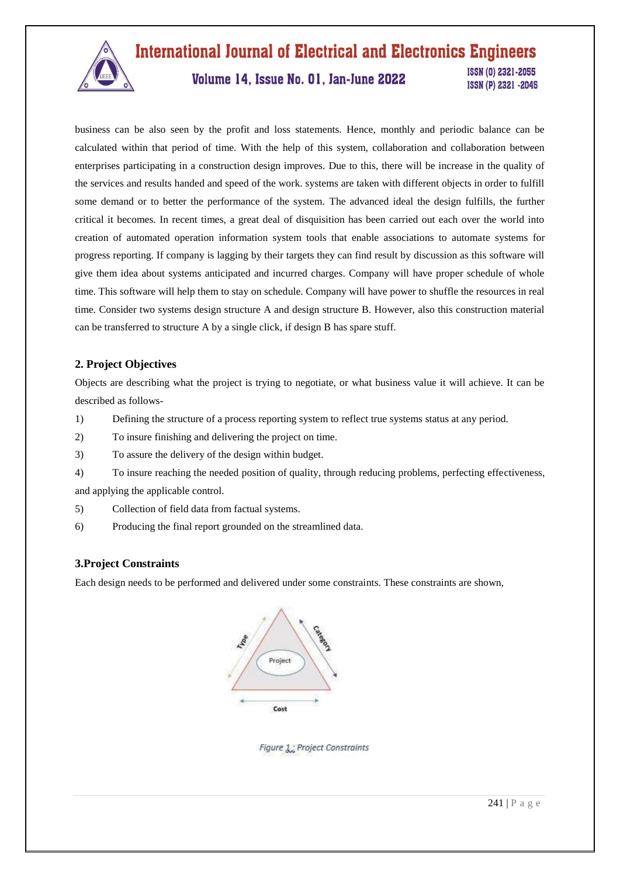

Volume 14, Issue No. 01, Jan-June 2022

ISSN (0) 2321-2055 ISSN (P) 2321 -2045

business can be also seen by the profit and loss statements. Hence, monthly and periodic balance can be calculated within that period of time. With the help of this system, collaboration and collaboration between enterprises participating in a construction design improves. Due to this, there will be increase in the quality of the services and results handed and speed of the work. systems are taken with different objects in order to fulfill some demand or to better the performance of the system. The advanced ideal the design fulfills, the further critical it becomes. In recent times, a great deal of disquisition has been carried out each over the world into creation of automated operation information system tools that enable associations to automate systems for progress reporting. If company is lagging by their targets they can find result by discussion as this software will give them idea about systems anticipated and incurred charges. Company will have proper schedule of whole time. This software will help them to stay on schedule. Company will have power to shuffle the resources in real time. Consider two systems design structure A and design structure B. However, also this construction material can be transferred to structure A by a single click, if design B has spare stuff.

### **2. Project Objectives**

Objects are describing what the project is trying to negotiate, or what business value it will achieve. It can be described as follows-

- 1) Defining the structure of a process reporting system to reflect true systems status at any period.
- 2) To insure finishing and delivering the project on time.
- 3) To assure the delivery of the design within budget.
- 4) To insure reaching the needed position of quality, through reducing problems, perfecting effectiveness,

and applying the applicable control.

- 5) Collection of field data from factual systems.
- 6) Producing the final report grounded on the streamlined data.

#### **3.Project Constraints**

Each design needs to be performed and delivered under some constraints. These constraints are shown,



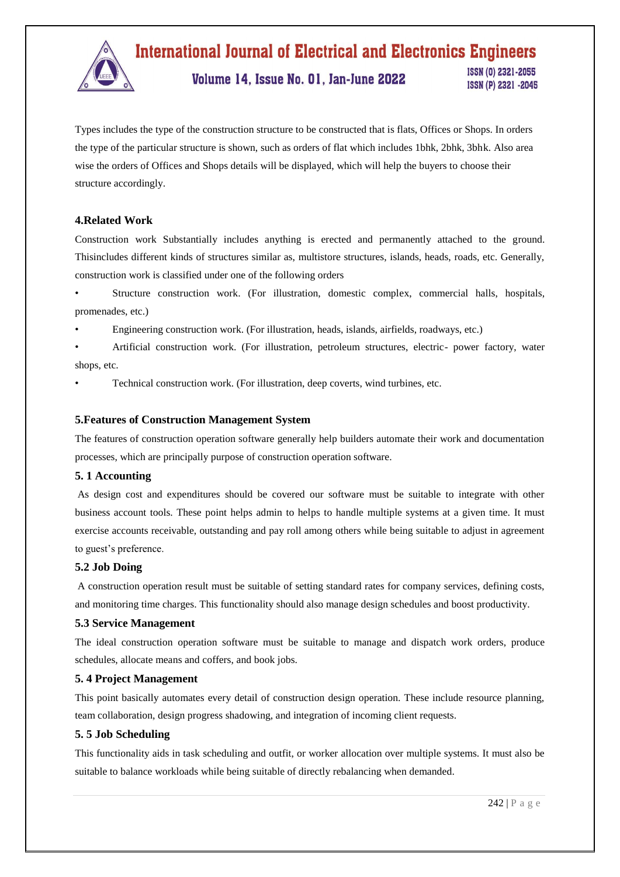

Volume 14, Issue No. 01, Jan-June 2022

ISSN (0) 2321-2055 ISSN (P) 2321 -2045

Types includes the type of the construction structure to be constructed that is flats, Offices or Shops. In orders the type of the particular structure is shown, such as orders of flat which includes 1bhk, 2bhk, 3bhk. Also area wise the orders of Offices and Shops details will be displayed, which will help the buyers to choose their structure accordingly.

# **4.Related Work**

Construction work Substantially includes anything is erected and permanently attached to the ground. Thisincludes different kinds of structures similar as, multistore structures, islands, heads, roads, etc. Generally, construction work is classified under one of the following orders

• Structure construction work. (For illustration, domestic complex, commercial halls, hospitals, promenades, etc.)

• Engineering construction work. (For illustration, heads, islands, airfields, roadways, etc.)

• Artificial construction work. (For illustration, petroleum structures, electric- power factory, water shops, etc.

• Technical construction work. (For illustration, deep coverts, wind turbines, etc.

### **5.Features of Construction Management System**

The features of construction operation software generally help builders automate their work and documentation processes, which are principally purpose of construction operation software.

#### **5. 1 Accounting**

As design cost and expenditures should be covered our software must be suitable to integrate with other business account tools. These point helps admin to helps to handle multiple systems at a given time. It must exercise accounts receivable, outstanding and pay roll among others while being suitable to adjust in agreement to guest's preference.

# **5.2 Job Doing**

A construction operation result must be suitable of setting standard rates for company services, defining costs, and monitoring time charges. This functionality should also manage design schedules and boost productivity.

#### **5.3 Service Management**

The ideal construction operation software must be suitable to manage and dispatch work orders, produce schedules, allocate means and coffers, and book jobs.

# **5. 4 Project Management**

This point basically automates every detail of construction design operation. These include resource planning, team collaboration, design progress shadowing, and integration of incoming client requests.

# **5. 5 Job Scheduling**

This functionality aids in task scheduling and outfit, or worker allocation over multiple systems. It must also be suitable to balance workloads while being suitable of directly rebalancing when demanded.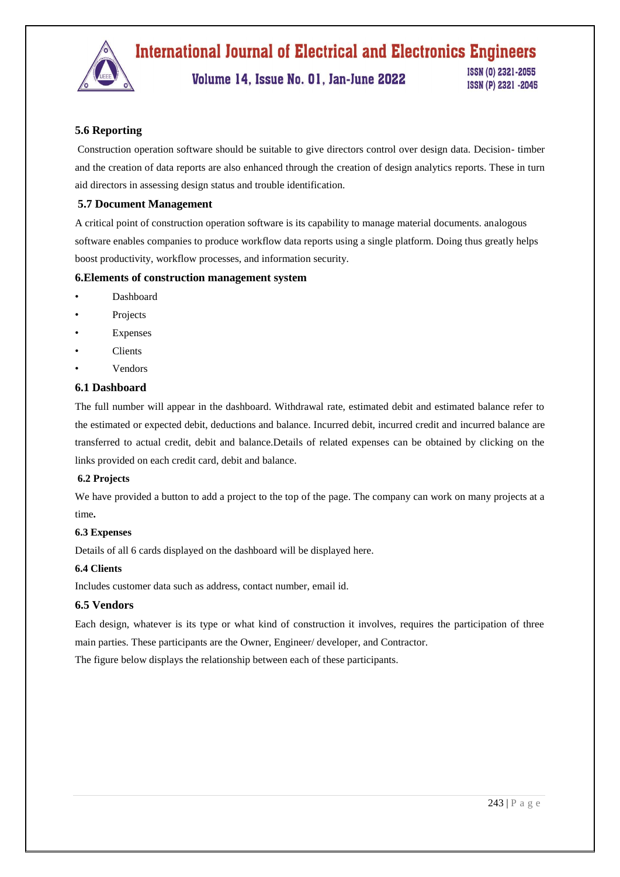

Volume 14, Issue No. 01, Jan-June 2022

ISSN (0) 2321-2055 ISSN (P) 2321 -2045

### **5.6 Reporting**

Construction operation software should be suitable to give directors control over design data. Decision- timber and the creation of data reports are also enhanced through the creation of design analytics reports. These in turn aid directors in assessing design status and trouble identification.

### **5.7 Document Management**

A critical point of construction operation software is its capability to manage material documents. analogous software enables companies to produce workflow data reports using a single platform. Doing thus greatly helps boost productivity, workflow processes, and information security.

#### **6.Elements of construction management system**

- Dashboard
- **Projects**
- **Expenses**
- Clients
- Vendors

#### **6.1 Dashboard**

The full number will appear in the dashboard. Withdrawal rate, estimated debit and estimated balance refer to the estimated or expected debit, deductions and balance. Incurred debit, incurred credit and incurred balance are transferred to actual credit, debit and balance.Details of related expenses can be obtained by clicking on the links provided on each credit card, debit and balance.

#### **6.2 Projects**

We have provided a button to add a project to the top of the page. The company can work on many projects at a time**.** 

#### **6.3 Expenses**

Details of all 6 cards displayed on the dashboard will be displayed here.

#### **6.4 Clients**

Includes customer data such as address, contact number, email id.

#### **6.5 Vendors**

Each design, whatever is its type or what kind of construction it involves, requires the participation of three main parties. These participants are the Owner, Engineer/ developer, and Contractor.

The figure below displays the relationship between each of these participants.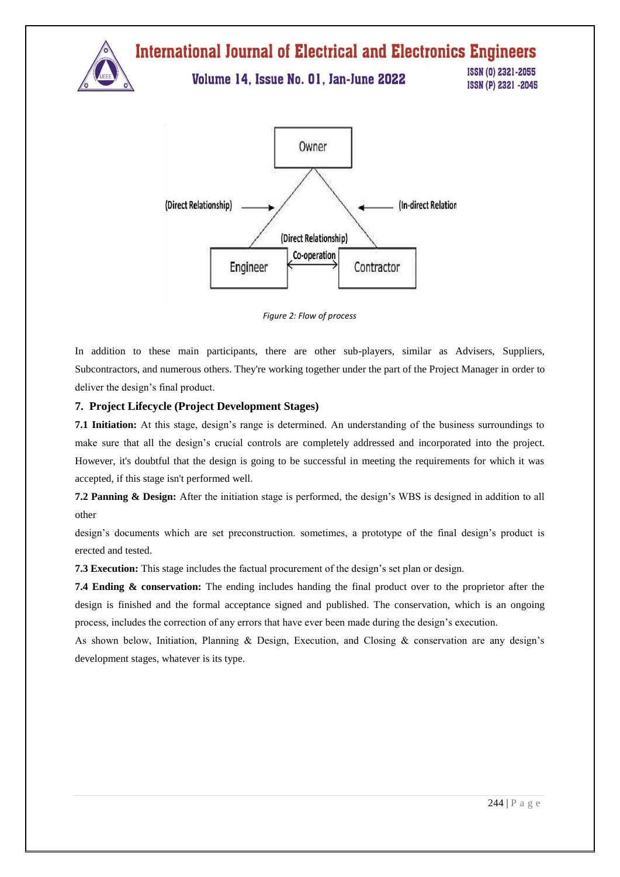



*Figure 2: Flow of process*

In addition to these main participants, there are other sub-players, similar as Advisers, Suppliers, Subcontractors, and numerous others. They're working together under the part of the Project Manager in order to deliver the design's final product.

#### **7. Project Lifecycle (Project Development Stages)**

**7.1 Initiation:** At this stage, design's range is determined. An understanding of the business surroundings to make sure that all the design's crucial controls are completely addressed and incorporated into the project. However, it's doubtful that the design is going to be successful in meeting the requirements for which it was accepted, if this stage isn't performed well.

**7.2 Panning & Design:** After the initiation stage is performed, the design's WBS is designed in addition to all other

design's documents which are set preconstruction. sometimes, a prototype of the final design's product is erected and tested.

**7.3 Execution:** This stage includes the factual procurement of the design's set plan or design.

**7.4 Ending & conservation:** The ending includes handing the final product over to the proprietor after the design is finished and the formal acceptance signed and published. The conservation, which is an ongoing process, includes the correction of any errors that have ever been made during the design's execution.

As shown below, Initiation, Planning & Design, Execution, and Closing & conservation are any design's development stages, whatever is its type.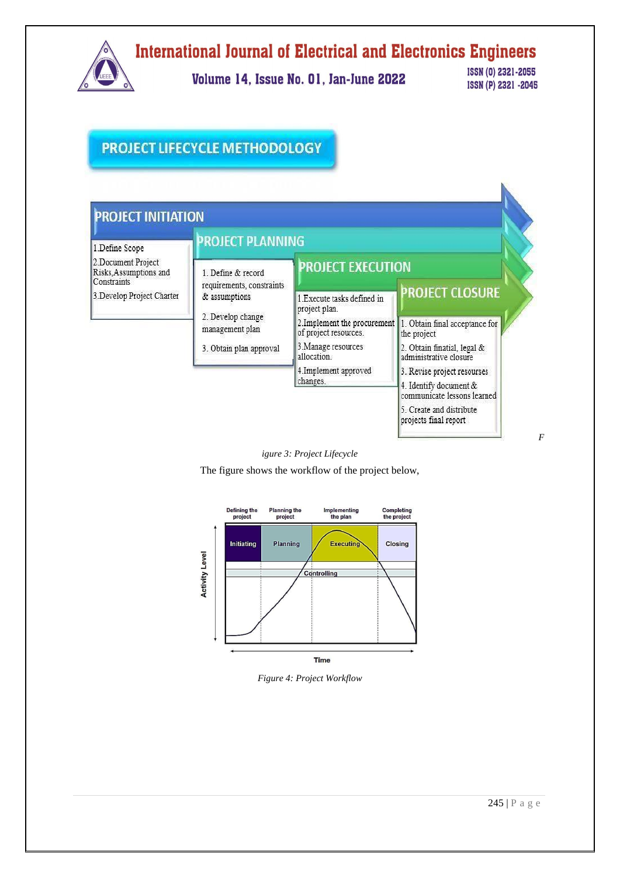

Volume 14, Issue No. 01, Jan-June 2022

ISSN (0) 2321-2055 ISSN (P) 2321 -2045

# **PROJECT LIFECYCLE METHODOLOGY**



*igure 3: Project Lifecycle*

The figure shows the workflow of the project below,



*Figure 4: Project Workflow*